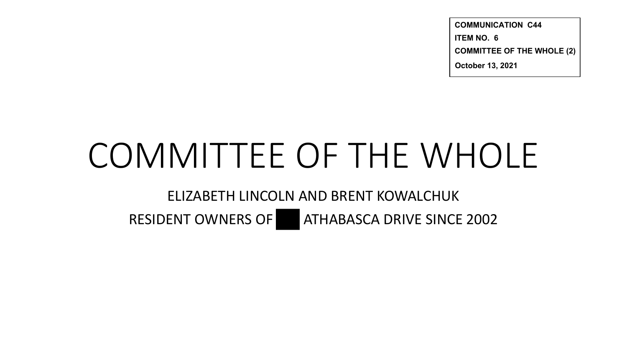**COMMUNICATION C44 ITEM NO. 6 COMMITTEE OF THE WHOLE (2) October 13, 2021**

# COMMITTEE OF THE WHOLE

ELIZABETH LINCOLN AND BRENT KOWALCHUK

RESIDENT OWNERS OF **ATHABASCA DRIVE SINCE 2002**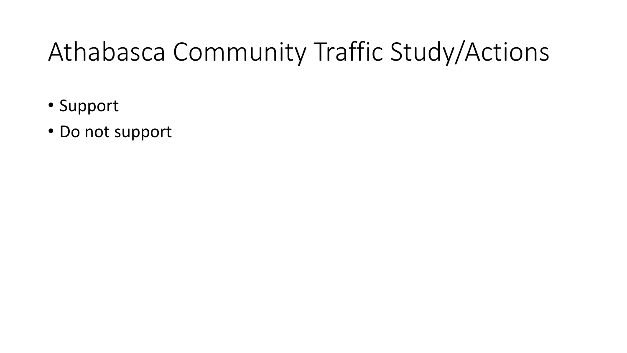# Athabasca Community Traffic Study/Actions

- Support
- Do not support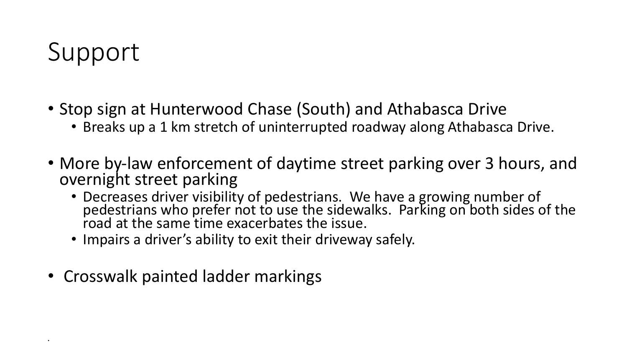# Support

•

- Stop sign at Hunterwood Chase (South) and Athabasca Drive
	- Breaks up a 1 km stretch of uninterrupted roadway along Athabasca Drive.
- More by-law enforcement of daytime street parking over 3 hours, and overnight street parking
	- Decreases driver visibility of pedestrians. We have a growing number of pedestrians who prefer not to use the sidewalks. Parking on both sides of the road at the same time exacerbates the issue.
	- Impairs a driver's ability to exit their driveway safely.
- Crosswalk painted ladder markings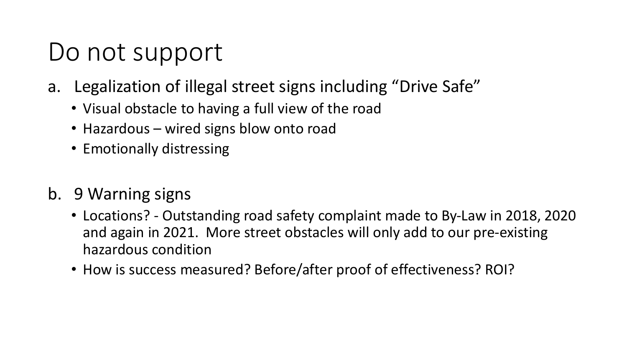### Do not support

- a. Legalization of illegal street signs including "Drive Safe"
	- Visual obstacle to having a full view of the road
	- Hazardous wired signs blow onto road
	- Emotionally distressing
- b. 9 Warning signs
	- Locations? Outstanding road safety complaint made to By-Law in 2018, 2020 and again in 2021. More street obstacles will only add to our pre-existing hazardous condition
	- How is success measured? Before/after proof of effectiveness? ROI?